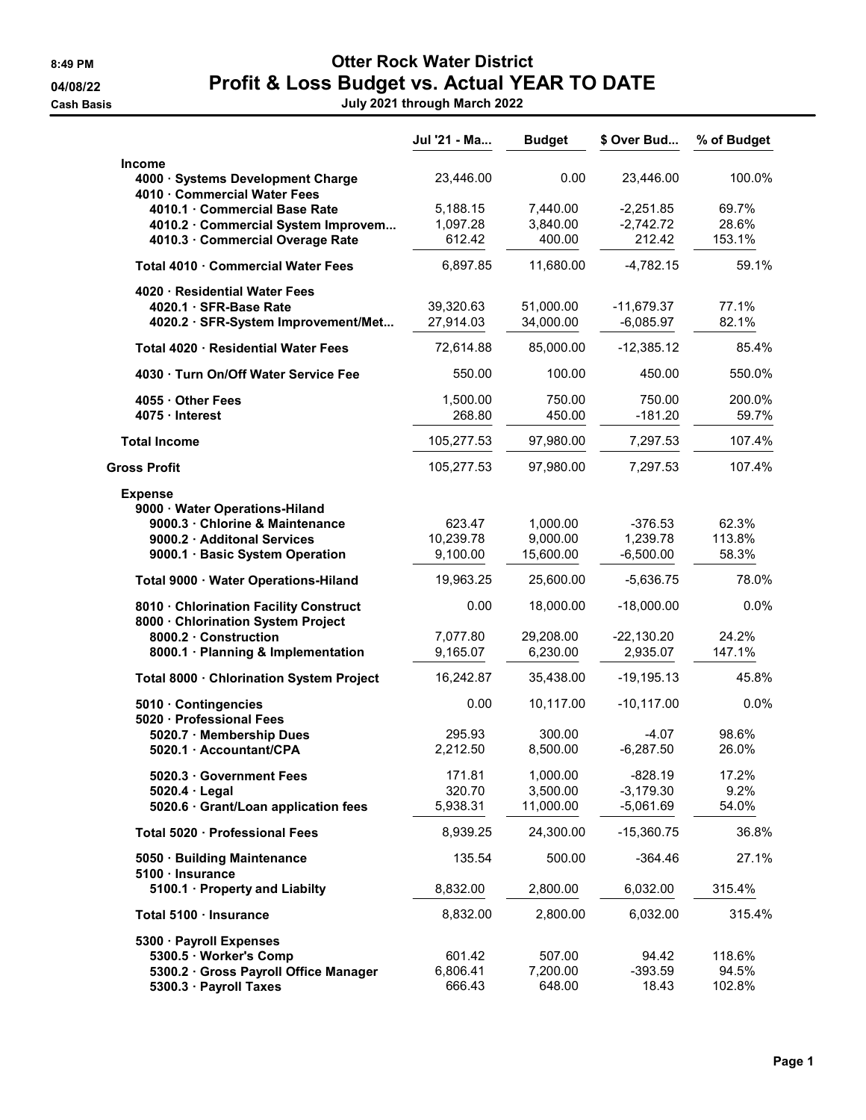8:49 PM CHEROCK Water District 04/08/22 **Profit & Loss Budget vs. Actual YEAR TO DATE** 

Cash Basis July 2021 through March 2022

|                                                                   | Jul '21 - Ma           | <b>Budget</b>          | \$ Over Bud                 | % of Budget    |
|-------------------------------------------------------------------|------------------------|------------------------|-----------------------------|----------------|
| <b>Income</b>                                                     |                        |                        |                             |                |
| 4000 · Systems Development Charge<br>4010 · Commercial Water Fees | 23,446.00              | 0.00                   | 23,446.00                   | 100.0%         |
| 4010.1 · Commercial Base Rate                                     | 5,188.15               | 7,440.00               | $-2,251.85$                 | 69.7%          |
| 4010.2 · Commercial System Improvem                               | 1,097.28               | 3,840.00               | $-2,742.72$                 | 28.6%          |
| 4010.3 · Commercial Overage Rate                                  | 612.42                 | 400.00                 | 212.42                      | 153.1%         |
| Total 4010 · Commercial Water Fees                                | 6,897.85               | 11,680.00              | $-4,782.15$                 | 59.1%          |
|                                                                   |                        |                        |                             |                |
| 4020 · Residential Water Fees                                     |                        |                        |                             |                |
| 4020.1 · SFR-Base Rate                                            | 39,320.63<br>27,914.03 | 51,000.00<br>34,000.00 | $-11,679.37$<br>$-6,085.97$ | 77.1%<br>82.1% |
| 4020.2 · SFR-System Improvement/Met                               |                        |                        |                             |                |
| Total 4020 · Residential Water Fees                               | 72,614.88              | 85,000.00              | $-12,385.12$                | 85.4%          |
| 4030 · Turn On/Off Water Service Fee                              | 550.00                 | 100.00                 | 450.00                      | 550.0%         |
| 4055 · Other Fees                                                 | 1,500.00               | 750.00                 | 750.00                      | 200.0%         |
| 4075 · Interest                                                   | 268.80                 | 450.00                 | $-181.20$                   | 59.7%          |
| <b>Total Income</b>                                               | 105,277.53             | 97,980.00              | 7,297.53                    | 107.4%         |
| <b>Gross Profit</b>                                               | 105,277.53             | 97,980.00              | 7,297.53                    | 107.4%         |
| <b>Expense</b>                                                    |                        |                        |                             |                |
| 9000 · Water Operations-Hiland                                    |                        |                        |                             |                |
| 9000.3 · Chlorine & Maintenance                                   | 623.47                 | 1,000.00               | $-376.53$                   | 62.3%          |
| 9000.2 · Additonal Services                                       | 10,239.78              | 9,000.00               | 1,239.78                    | 113.8%         |
| 9000.1 · Basic System Operation                                   | 9,100.00               | 15,600.00              | $-6,500.00$                 | 58.3%          |
| Total 9000 · Water Operations-Hiland                              | 19,963.25              | 25,600.00              | $-5,636.75$                 | 78.0%          |
| 8010 · Chlorination Facility Construct                            | 0.00                   | 18,000.00              | $-18,000.00$                | 0.0%           |
| 8000 · Chlorination System Project                                |                        |                        |                             |                |
| 8000.2 · Construction                                             | 7,077.80               | 29,208.00              | $-22,130.20$                | 24.2%          |
| 8000.1 · Planning & Implementation                                | 9,165.07               | 6,230.00               | 2,935.07                    | 147.1%         |
| Total 8000 · Chlorination System Project                          | 16,242.87              | 35,438.00              | $-19,195.13$                | 45.8%          |
|                                                                   | 0.00                   |                        |                             | 0.0%           |
| 5010 · Contingencies<br>5020 · Professional Fees                  |                        | 10,117.00              | $-10, 117.00$               |                |
| 5020.7 · Membership Dues                                          | 295.93                 | 300.00                 | -4.07                       | 98.6%          |
| 5020.1 · Accountant/CPA                                           | 2,212.50               | 8,500.00               | $-6,287.50$                 | 26.0%          |
|                                                                   |                        |                        |                             |                |
| 5020.3 · Government Fees                                          | 171.81                 | 1,000.00               | $-828.19$                   | 17.2%          |
| $5020.4 \cdot$ Legal                                              | 320.70                 | 3,500.00               | $-3,179.30$                 | 9.2%           |
| 5020.6 · Grant/Loan application fees                              | 5,938.31               | 11,000.00              | $-5,061.69$                 | 54.0%          |
| Total 5020 · Professional Fees                                    | 8,939.25               | 24,300.00              | $-15,360.75$                | 36.8%          |
| 5050 · Building Maintenance                                       | 135.54                 | 500.00                 | $-364.46$                   | 27.1%          |
| 5100 · Insurance<br>5100.1 · Property and Liabilty                | 8,832.00               | 2,800.00               | 6,032.00                    | 315.4%         |
|                                                                   |                        |                        |                             |                |
| Total 5100 · Insurance                                            | 8,832.00               | 2,800.00               | 6,032.00                    | 315.4%         |
| 5300 · Payroll Expenses                                           |                        |                        |                             |                |
| 5300.5 · Worker's Comp                                            | 601.42                 | 507.00                 | 94.42                       | 118.6%         |
| 5300.2 · Gross Payroll Office Manager                             | 6,806.41               | 7,200.00               | $-393.59$                   | 94.5%          |
| 5300.3 · Payroll Taxes                                            | 666.43                 | 648.00                 | 18.43                       | 102.8%         |